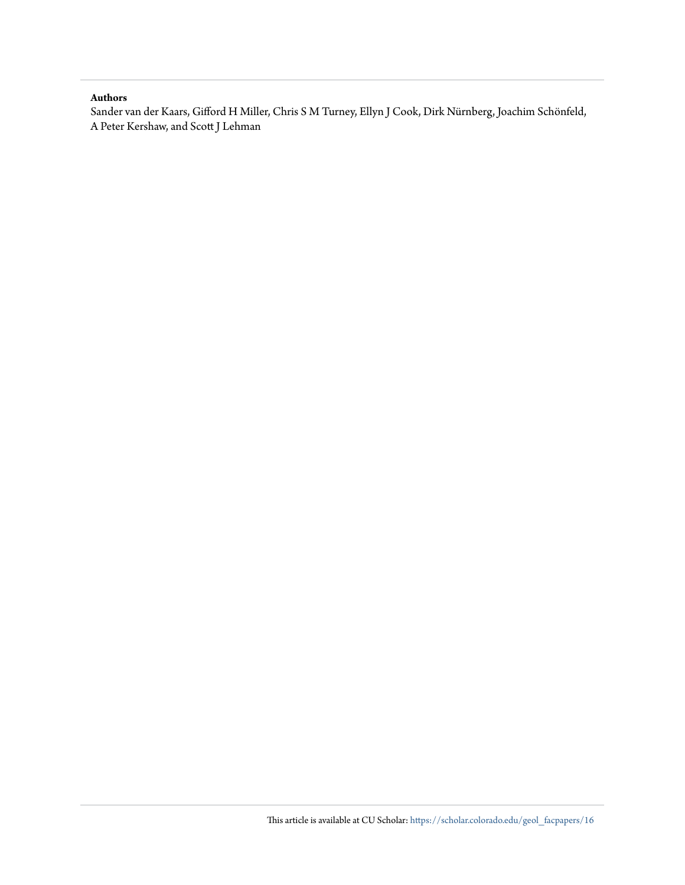### **Authors**

Sander van der Kaars, Gifford H Miller, Chris S M Turney, Ellyn J Cook, Dirk Nürnberg, Joachim Schönfeld, A Peter Kershaw, and Scott J Lehman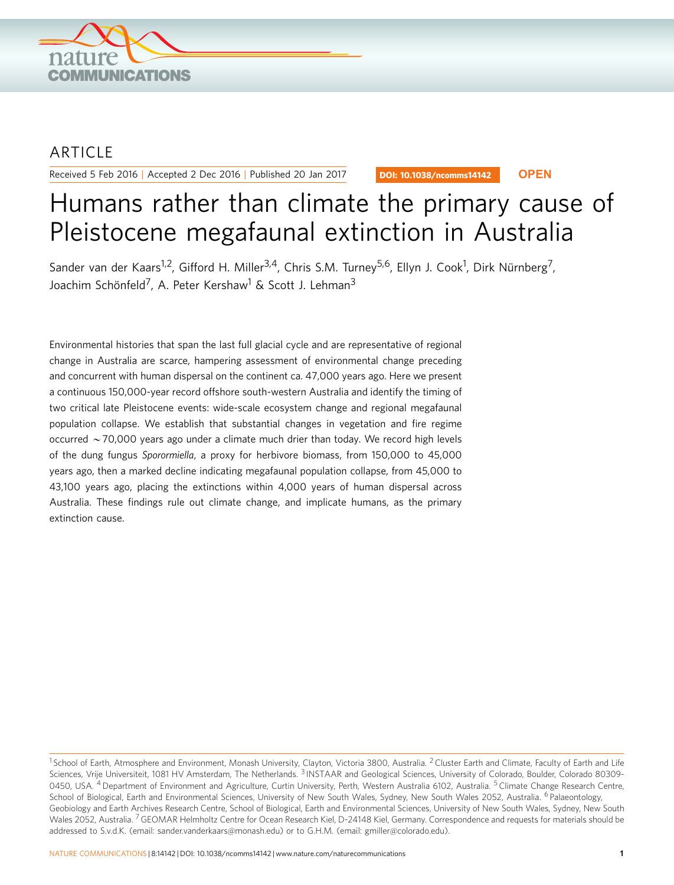

## **ARTICLE**

Received 5 Feb 2016 | Accepted 2 Dec 2016 | Published 20 Jan 2017

DOI: 10.1038/ncomms14142 **OPEN**

# Humans rather than climate the primary cause of Pleistocene megafaunal extinction in Australia

Sander van der Kaars<sup>1,2</sup>, Gifford H. Miller<sup>3,4</sup>, Chris S.M. Turney<sup>5,6</sup>, Ellyn J. Cook<sup>1</sup>, Dirk Nürnberg<sup>7</sup>, Joachim Schönfeld<sup>7</sup>, A. Peter Kershaw<sup>1</sup> & Scott J. Lehman<sup>3</sup>

Environmental histories that span the last full glacial cycle and are representative of regional change in Australia are scarce, hampering assessment of environmental change preceding and concurrent with human dispersal on the continent ca. 47,000 years ago. Here we present a continuous 150,000-year record offshore south-western Australia and identify the timing of two critical late Pleistocene events: wide-scale ecosystem change and regional megafaunal population collapse. We establish that substantial changes in vegetation and fire regime occurred  $\sim$  70,000 years ago under a climate much drier than today. We record high levels of the dung fungus Sporormiella, a proxy for herbivore biomass, from 150,000 to 45,000 years ago, then a marked decline indicating megafaunal population collapse, from 45,000 to 43,100 years ago, placing the extinctions within 4,000 years of human dispersal across Australia. These findings rule out climate change, and implicate humans, as the primary extinction cause.

 $1$  School of Earth, Atmosphere and Environment, Monash University, Clayton, Victoria 3800, Australia. <sup>2</sup> Cluster Earth and Climate, Faculty of Earth and Life Sciences, Vrije Universiteit, 1081 HV Amsterdam, The Netherlands. <sup>3</sup> INSTAAR and Geological Sciences, University of Colorado, Boulder, Colorado 80309-0450, USA. <sup>4</sup> Department of Environment and Agriculture, Curtin University, Perth, Western Australia 6102, Australia. <sup>5</sup> Climate Change Research Centre, School of Biological, Earth and Environmental Sciences, University of New South Wales, Sydney, New South Wales 2052, Australia. <sup>6</sup> Palaeontology, Geobiology and Earth Archives Research Centre, School of Biological, Earth and Environmental Sciences, University of New South Wales, Sydney, New South Wales 2052, Australia. <sup>7</sup> GEOMAR Helmholtz Centre for Ocean Research Kiel, D-24148 Kiel, Germany. Correspondence and requests for materials should be addressed to S.v.d.K. (email: [sander.vanderkaars@monash.edu](mailto:sander.vanderkaars@monash.edu)) or to G.H.M. (email: [gmiller@colorado.edu\)](mailto:gmiller@colorado.edu).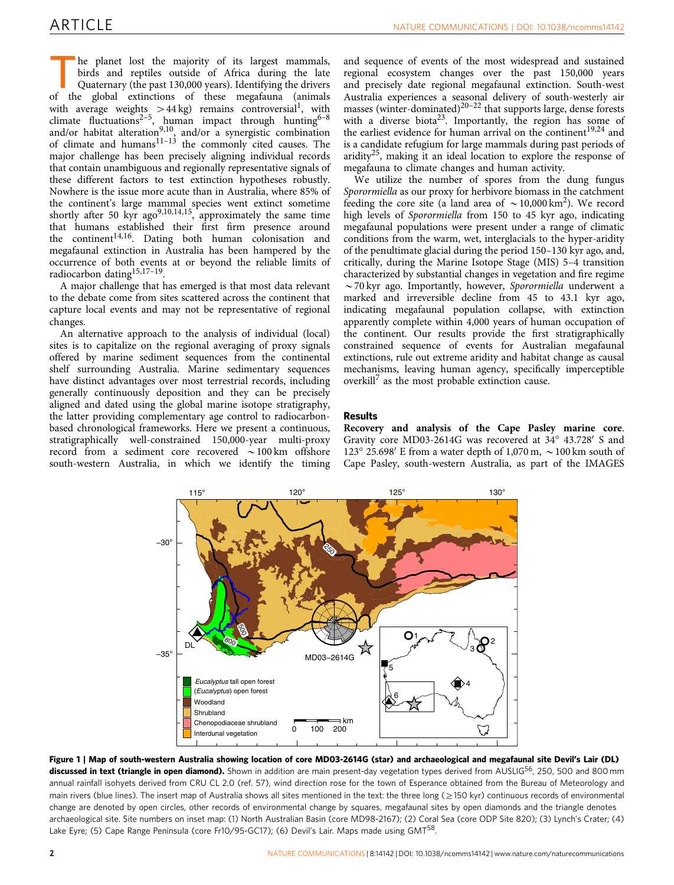<span id="page-2-0"></span>he planet lost the majority of its largest mammals, birds and reptiles outside of Africa during the late Quaternary (the past 130,000 years). Identifying the drivers of the global extinctions of these megafauna (animals with average weights  $>44$  kg) remains controversial<sup>[1](#page-5-0)</sup>, with climate fluctuations<sup>2-5</sup>, human impact through hunting<sup>6-8</sup> and/or habitat alteration<sup>[9,10](#page-6-0)</sup>, and/or a synergistic combination of climate and humans $11-13$  the commonly cited causes. The major challenge has been precisely aligning individual records that contain unambiguous and regionally representative signals of these different factors to test extinction hypotheses robustly. Nowhere is the issue more acute than in Australia, where 85% of the continent's large mammal species went extinct sometime shortly after 50 kyr  $ago^{9,10,14,15}$ , approximately the same time that humans established their first firm presence around the continent<sup>14,16</sup>. Dating both human colonisation and megafaunal extinction in Australia has been hampered by the occurrence of both events at or beyond the reliable limits of radiocarbon datin[g15,17–19.](#page-6-0)

A major challenge that has emerged is that most data relevant to the debate come from sites scattered across the continent that capture local events and may not be representative of regional changes.

An alternative approach to the analysis of individual (local) sites is to capitalize on the regional averaging of proxy signals offered by marine sediment sequences from the continental shelf surrounding Australia. Marine sedimentary sequences have distinct advantages over most terrestrial records, including generally continuously deposition and they can be precisely aligned and dated using the global marine isotope stratigraphy, the latter providing complementary age control to radiocarbonbased chronological frameworks. Here we present a continuous, stratigraphically well-constrained 150,000-year multi-proxy record from a sediment core recovered  $\sim$ 100 km offshore south-western Australia, in which we identify the timing

and sequence of events of the most widespread and sustained regional ecosystem changes over the past 150,000 years and precisely date regional megafaunal extinction. South-west Australia experiences a seasonal delivery of south-westerly air masses (winter-dominated)<sup>[20–22](#page-6-0)</sup> that supports large, dense forests with a diverse biota<sup>23</sup>. Importantly, the region has some of the earliest evidence for human arrival on the continent<sup>[19,24](#page-6-0)</sup> and is a candidate refugium for large mammals during past periods of aridity<sup>25</sup>, making it an ideal location to explore the response of megafauna to climate changes and human activity.

We utilize the number of spores from the dung fungus Sporormiella as our proxy for herbivore biomass in the catchment feeding the core site (a land area of  $\sim 10,000$  km<sup>2</sup>). We record high levels of Sporormiella from 150 to 45 kyr ago, indicating megafaunal populations were present under a range of climatic conditions from the warm, wet, interglacials to the hyper-aridity of the penultimate glacial during the period 150–130 kyr ago, and, critically, during the Marine Isotope Stage (MIS) 5–4 transition characterized by substantial changes in vegetation and fire regime  $\sim$  70 kyr ago. Importantly, however, Sporormiella underwent a marked and irreversible decline from 45 to 43.1 kyr ago, indicating megafaunal population collapse, with extinction apparently complete within 4,000 years of human occupation of the continent. Our results provide the first stratigraphically constrained sequence of events for Australian megafaunal extinctions, rule out extreme aridity and habitat change as causal mechanisms, leaving human agency, specifically imperceptible overkill<sup>[7](#page-6-0)</sup> as the most probable extinction cause.

#### Results

Recovery and analysis of the Cape Pasley marine core. Gravity core MD03-2614G was recovered at  $34^{\circ}$  43.728' S and 123° 25.698′ E from a water depth of 1,070 m,  $\sim$  100 km south of Cape Pasley, south-western Australia, as part of the IMAGES



Figure 1 | Map of south-western Australia showing location of core MD03-2614G (star) and archaeological and megafaunal site Devil's Lair (DL) discussed in text (triangle in open diamond). Shown in addition are main present-day vegetation types derived from AUSLIG<sup>56</sup>, 250, 500 and 800 mm annual rainfall isohyets derived from CRU CL 2.0 [\(ref. 57](#page-6-0)), wind direction rose for the town of Esperance obtained from the Bureau of Meteorology and main rivers (blue lines). The insert map of Australia shows all sites mentioned in the text: the three long ( $\geq$ 150 kyr) continuous records of environmental change are denoted by open circles, other records of environmental change by squares, megafaunal sites by open diamonds and the triangle denotes archaeological site. Site numbers on inset map: (1) North Australian Basin (core MD98-2167); (2) Coral Sea (core ODP Site 820); (3) Lynch's Crater; (4) Lake Eyre; (5) Cape Range Peninsula (core Fr10/95-GC17); (6) Devil's Lair. Maps made using GMT<sup>[58](#page-6-0)</sup>.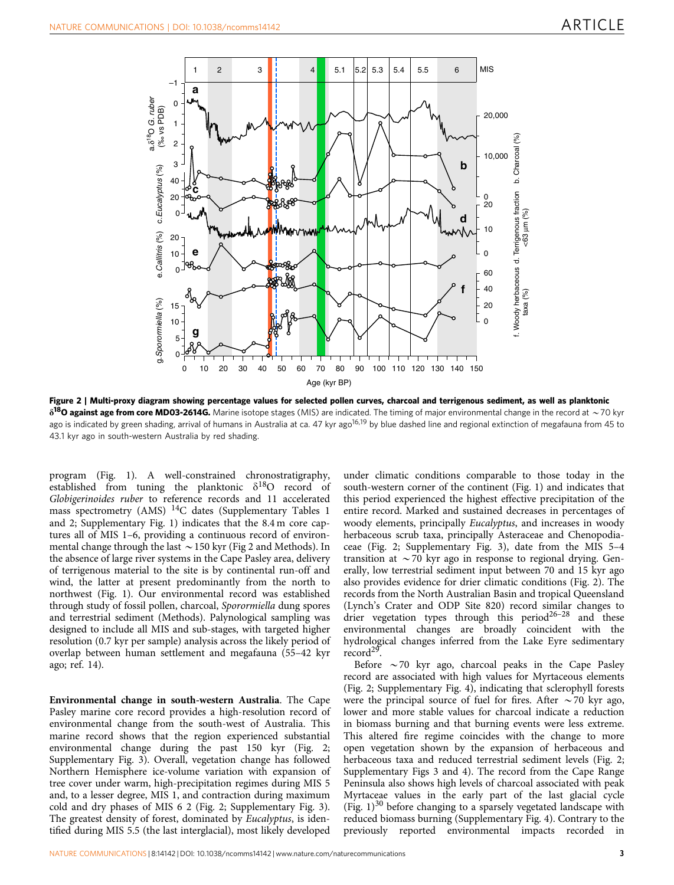

Figure 2 | Multi-proxy diagram showing percentage values for selected pollen curves, charcoal and terrigenous sediment, as well as planktonic  $\delta^{18}$ O against age from core MD03-2614G. Marine isotope stages (MIS) are indicated. The timing of major environmental change in the record at  $\sim$  70 kyr ago is indicated by green shading, arrival of humans in Australia at ca. 47 kyr ago<sup>16,19</sup> by blue dashed line and regional extinction of megafauna from 45 to 43.1 kyr ago in south-western Australia by red shading.

program ([Fig. 1\)](#page-2-0). A well-constrained chronostratigraphy, established from tuning the planktonic  $\delta^{18}O$  record of Globigerinoides ruber to reference records and 11 accelerated mass spectrometry (AMS) <sup>14</sup>C dates (Supplementary Tables 1 and 2; Supplementary Fig. 1) indicates that the 8.4 m core captures all of MIS 1–6, providing a continuous record of environmental change through the last  $\sim$  150 kyr (Fig 2 and Methods). In the absence of large river systems in the Cape Pasley area, delivery of terrigenous material to the site is by continental run-off and wind, the latter at present predominantly from the north to northwest [\(Fig. 1](#page-2-0)). Our environmental record was established through study of fossil pollen, charcoal, Sporormiella dung spores and terrestrial sediment (Methods). Palynological sampling was designed to include all MIS and sub-stages, with targeted higher resolution (0.7 kyr per sample) analysis across the likely period of overlap between human settlement and megafauna (55–42 kyr ago; [ref. 14](#page-6-0)).

Environmental change in south-western Australia. The Cape Pasley marine core record provides a high-resolution record of environmental change from the south-west of Australia. This marine record shows that the region experienced substantial environmental change during the past 150 kyr (Fig. 2; Supplementary Fig. 3). Overall, vegetation change has followed Northern Hemisphere ice-volume variation with expansion of tree cover under warm, high-precipitation regimes during MIS 5 and, to a lesser degree, MIS 1, and contraction during maximum cold and dry phases of MIS 6 2 (Fig. 2; Supplementary Fig. 3). The greatest density of forest, dominated by *Eucalyptus*, is identified during MIS 5.5 (the last interglacial), most likely developed

under climatic conditions comparable to those today in the south-western corner of the continent ([Fig. 1\)](#page-2-0) and indicates that this period experienced the highest effective precipitation of the entire record. Marked and sustained decreases in percentages of woody elements, principally Eucalyptus, and increases in woody herbaceous scrub taxa, principally Asteraceae and Chenopodiaceae (Fig. 2; Supplementary Fig. 3), date from the MIS 5–4 transition at  $\sim$  70 kyr ago in response to regional drying. Generally, low terrestrial sediment input between 70 and 15 kyr ago also provides evidence for drier climatic conditions (Fig. 2). The records from the North Australian Basin and tropical Queensland (Lynch's Crater and ODP Site 820) record similar changes to drier vegetation types through this period<sup>26-28</sup> and these environmental changes are broadly coincident with the hydrological changes inferred from the Lake Eyre sedimentary record<sup>[29](#page-6-0)</sup>.

Before  $\sim$  70 kyr ago, charcoal peaks in the Cape Pasley record are associated with high values for Myrtaceous elements (Fig. 2; Supplementary Fig. 4), indicating that sclerophyll forests were the principal source of fuel for fires. After  $\sim$  70 kyr ago, lower and more stable values for charcoal indicate a reduction in biomass burning and that burning events were less extreme. This altered fire regime coincides with the change to more open vegetation shown by the expansion of herbaceous and herbaceous taxa and reduced terrestrial sediment levels (Fig. 2; Supplementary Figs 3 and 4). The record from the Cape Range Peninsula also shows high levels of charcoal associated with peak Myrtaceae values in the early part of the last glacial cycle (Fig.  $1$ )<sup>[30](#page-6-0)</sup> before changing to a sparsely vegetated landscape with reduced biomass burning (Supplementary Fig. 4). Contrary to the previously reported environmental impacts recorded in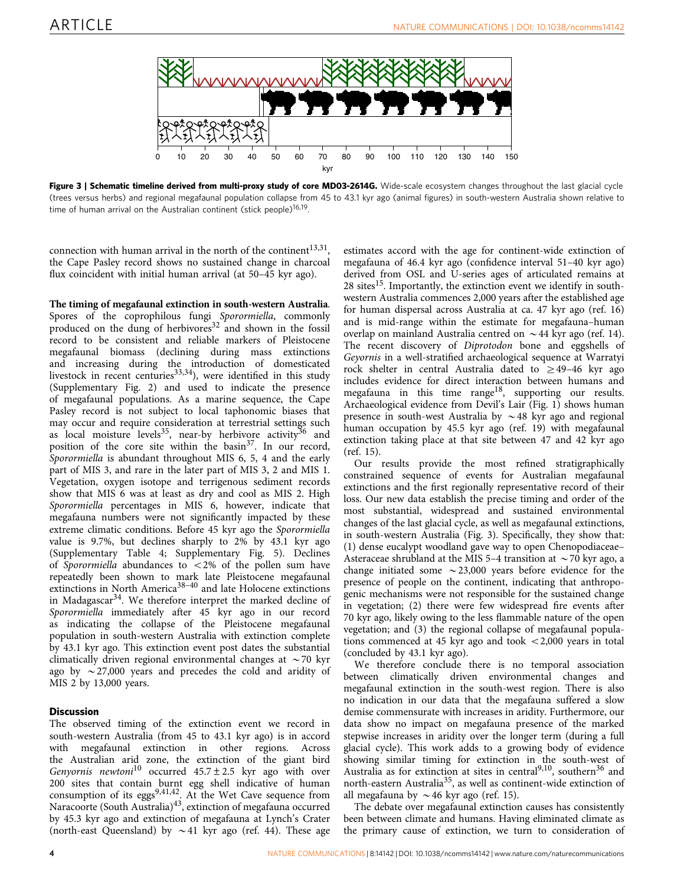

Figure 3 | Schematic timeline derived from multi-proxy study of core MD03-2614G. Wide-scale ecosystem changes throughout the last glacial cycle (trees versus herbs) and regional megafaunal population collapse from 45 to 43.1 kyr ago (animal figures) in south-western Australia shown relative to time of human arrival on the Australian continent (stick people) $16,19$ .

connection with human arrival in the north of the continent<sup>13,31</sup>, the Cape Pasley record shows no sustained change in charcoal flux coincident with initial human arrival (at 50–45 kyr ago).

#### The timing of megafaunal extinction in south-western Australia.

Spores of the coprophilous fungi Sporormiella, commonly produced on the dung of herbivores<sup>[32](#page-6-0)</sup> and shown in the fossil record to be consistent and reliable markers of Pleistocene megafaunal biomass (declining during mass extinctions and increasing during the introduction of domesticated livestock in recent centuries<sup>[33,34](#page-6-0)</sup>), were identified in this study (Supplementary Fig. 2) and used to indicate the presence of megafaunal populations. As a marine sequence, the Cape Pasley record is not subject to local taphonomic biases that may occur and require consideration at terrestrial settings such as local moisture levels<sup>[35](#page-6-0)</sup>, near-by herbivore activity<sup>[36](#page-6-0)</sup> and position of the core site within the basin<sup>37</sup>. In our record, Sporormiella is abundant throughout MIS 6, 5, 4 and the early part of MIS 3, and rare in the later part of MIS 3, 2 and MIS 1. Vegetation, oxygen isotope and terrigenous sediment records show that MIS 6 was at least as dry and cool as MIS 2. High Sporormiella percentages in MIS 6, however, indicate that megafauna numbers were not significantly impacted by these extreme climatic conditions. Before 45 kyr ago the Sporormiella value is 9.7%, but declines sharply to 2% by 43.1 kyr ago (Supplementary Table 4; Supplementary Fig. 5). Declines of Sporormiella abundances to  $\langle 2\%$  of the pollen sum have repeatedly been shown to mark late Pleistocene megafaunal extinctions in North America<sup>38-40</sup> and late Holocene extinctions in Madagascar<sup>[34](#page-6-0)</sup>. We therefore interpret the marked decline of Sporormiella immediately after 45 kyr ago in our record as indicating the collapse of the Pleistocene megafaunal population in south-western Australia with extinction complete by 43.1 kyr ago. This extinction event post dates the substantial climatically driven regional environmental changes at  $\sim$  70 kyr ago by  $\sim$  27,000 years and precedes the cold and aridity of MIS 2 by 13,000 years.

#### **Discussion**

The observed timing of the extinction event we record in south-western Australia (from 45 to 43.1 kyr ago) is in accord with megafaunal extinction in other regions. Across the Australian arid zone, the extinction of the giant bird Genyornis newtoni<sup>[10](#page-6-0)</sup> occurred  $45.7 \pm 2.5$  kyr ago with over 200 sites that contain burnt egg shell indicative of human consumption of its eggs<sup>9,41,42</sup>. At the Wet Cave sequence from Naracoorte (South Australia)<sup>43</sup>, extinction of megafauna occurred by 45.3 kyr ago and extinction of megafauna at Lynch's Crater (north-east Queensland) by  $\sim$  41 kyr ago [\(ref. 44\)](#page-6-0). These age

estimates accord with the age for continent-wide extinction of megafauna of 46.4 kyr ago (confidence interval 51–40 kyr ago) derived from OSL and U-series ages of articulated remains at  $28$  sites<sup>15</sup>. Importantly, the extinction event we identify in southwestern Australia commences 2,000 years after the established age for human dispersal across Australia at ca. 47 kyr ago ([ref. 16](#page-6-0)) and is mid-range within the estimate for megafauna–human overlap on mainland Australia centred on  $\sim$  44 kyr ago [\(ref. 14](#page-6-0)). The recent discovery of Diprotodon bone and eggshells of Geyornis in a well-stratified archaeological sequence at Warratyi rock shelter in central Australia dated to  $\geq$ 49-46 kyr ago includes evidence for direct interaction between humans and megafauna in this time range<sup>[18](#page-6-0)</sup>, supporting our results. Archaeological evidence from Devil's Lair ([Fig. 1](#page-2-0)) shows human presence in south-west Australia by  $\sim$  48 kyr ago and regional human occupation by 45.5 kyr ago [\(ref. 19](#page-6-0)) with megafaunal extinction taking place at that site between 47 and 42 kyr ago ([ref. 15](#page-6-0)).

Our results provide the most refined stratigraphically constrained sequence of events for Australian megafaunal extinctions and the first regionally representative record of their loss. Our new data establish the precise timing and order of the most substantial, widespread and sustained environmental changes of the last glacial cycle, as well as megafaunal extinctions, in south-western Australia (Fig. 3). Specifically, they show that: (1) dense eucalypt woodland gave way to open Chenopodiaceae– Asteraceae shrubland at the MIS 5–4 transition at  $\sim$  70 kyr ago, a change initiated some  $\sim$  23,000 years before evidence for the presence of people on the continent, indicating that anthropogenic mechanisms were not responsible for the sustained change in vegetation; (2) there were few widespread fire events after 70 kyr ago, likely owing to the less flammable nature of the open vegetation; and (3) the regional collapse of megafaunal populations commenced at 45 kyr ago and took  $\langle 2,000 \rangle$  years in total (concluded by 43.1 kyr ago).

We therefore conclude there is no temporal association between climatically driven environmental changes and megafaunal extinction in the south-west region. There is also no indication in our data that the megafauna suffered a slow demise commensurate with increases in aridity. Furthermore, our data show no impact on megafauna presence of the marked stepwise increases in aridity over the longer term (during a full glacial cycle). This work adds to a growing body of evidence showing similar timing for extinction in the south-west of Australia as for extinction at sites in central<sup>9,10</sup>, southern<sup>[36](#page-6-0)</sup> and north-eastern Australia[35](#page-6-0), as well as continent-wide extinction of all megafauna by  $\sim$  46 kyr ago [\(ref. 15](#page-6-0)).

The debate over megafaunal extinction causes has consistently been between climate and humans. Having eliminated climate as the primary cause of extinction, we turn to consideration of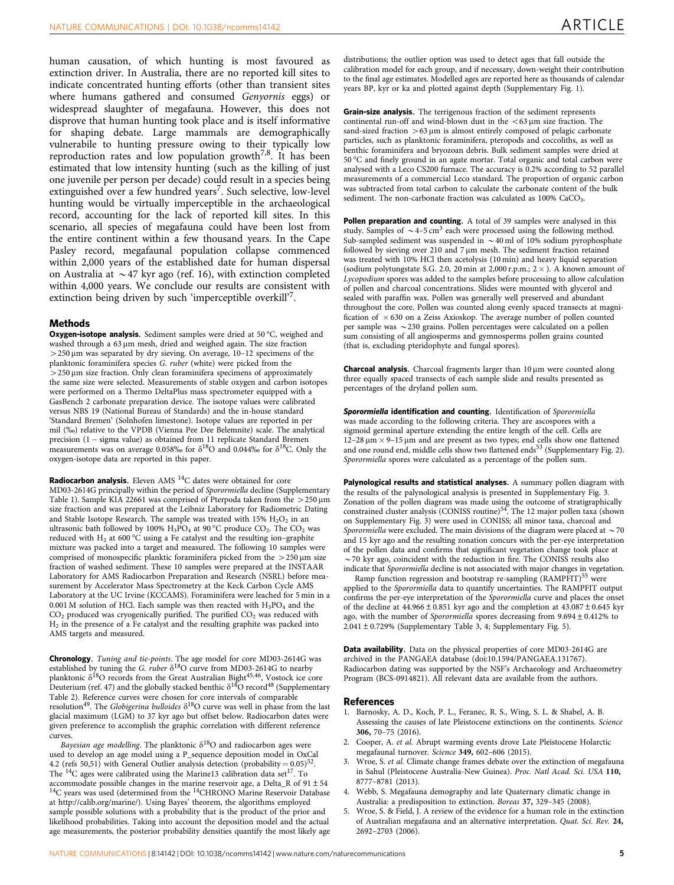<span id="page-5-0"></span>human causation, of which hunting is most favoured as extinction driver. In Australia, there are no reported kill sites to indicate concentrated hunting efforts (other than transient sites where humans gathered and consumed Genyornis eggs) or widespread slaughter of megafauna. However, this does not disprove that human hunting took place and is itself informative for shaping debate. Large mammals are demographically vulnerabile to hunting pressure owing to their typically low reproduction rates and low population growth<sup>[7,8](#page-6-0)</sup>. It has been estimated that low intensity hunting (such as the killing of just one juvenile per person per decade) could result in a species being extinguished over a few hundred years<sup>[7](#page-6-0)</sup>. Such selective, low-level hunting would be virtually imperceptible in the archaeological record, accounting for the lack of reported kill sites. In this scenario, all species of megafauna could have been lost from the entire continent within a few thousand years. In the Cape Pasley record, megafaunal population collapse commenced within 2,000 years of the established date for human dispersal on Australia at  $\sim$  47 kyr ago [\(ref. 16\)](#page-6-0), with extinction completed within 4,000 years. We conclude our results are consistent with extinction being driven by such 'imperceptible overkill'[7](#page-6-0).

#### Methods

Oxygen-isotope analysis. Sediment samples were dried at 50 °C, weighed and washed through a 63 µm mesh, dried and weighed again. The size fraction  $>$  250 µm was separated by dry sieving. On average, 10–12 specimens of the planktonic foraminifera species G. ruber (white) were picked from the  $>$  250  $\mu$ m size fraction. Only clean foraminifera specimens of approximately the same size were selected. Measurements of stable oxygen and carbon isotopes were performed on a Thermo DeltaPlus mass spectrometer equipped with a GasBench 2 carbonate preparation device. The isotope values were calibrated versus NBS 19 (National Bureau of Standards) and the in-house standard 'Standard Bremen' (Solnhofen limestone). Isotope values are reported in per mil (%) relative to the VPDB (Vienna Pee Dee Belemnite) scale. The analytical precision  $(1 - sigma value)$  as obtained from 11 replicate Standard Bremen measurements was on average 0.058% for  $\delta^{18}$ O and 0.044% for  $\delta^{18}$ C. Only the oxygen-isotope data are reported in this paper.

**Radiocarbon analysis.** Eleven AMS  $^{14}C$  dates were obtained for core MD03-2614G principally within the period of Sporormiella decline (Supplementary Table 1). Sample KIA 22661 was comprised of Pterpoda taken from the  $>$  250 µm size fraction and was prepared at the Leibniz Laboratory for Radiometric Dating and Stable Isotope Research. The sample was treated with  $15\%$   $H_2O_2$  in an ultrasonic bath followed by 100%  $H_3PO_4$  at 90 °C produce CO<sub>2</sub>. The CO<sub>2</sub> was reduced with  $H_2$  at 600 °C using a Fe catalyst and the resulting ion–graphite mixture was packed into a target and measured. The following 10 samples were comprised of monospecific planktic foraminifera picked from the  $>$  250  $\mu$ m size fraction of washed sediment. These 10 samples were prepared at the INSTAAR Laboratory for AMS Radiocarbon Preparation and Research (NSRL) before measurement by Accelerator Mass Spectrometry at the Keck Carbon Cycle AMS Laboratory at the UC Irvine (KCCAMS). Foraminifera were leached for 5 min in a 0.001 M solution of HCl. Each sample was then reacted with  $H_3PO_4$  and the  $CO<sub>2</sub>$  produced was cryogenically purified. The purified  $CO<sub>2</sub>$  was reduced with H2 in the presence of a Fe catalyst and the resulting graphite was packed into AMS targets and measured.

Chronology. Tuning and tie-points. The age model for core MD03-2614G was established by tuning the G. ruber  $\delta^{18}O$  curve from MD03-2614G to nearby planktonic  $\delta^{18}O$  records from the Great Australian Bight<sup>45,46</sup>, Vostock ice core Deuterium [\(ref. 47](#page-6-0)) and the globally stacked benthic  $\delta^{18}O$  record<sup>48</sup> (Supplementary Table 2). Reference curves were chosen for core intervals of comparable<br>resolution<sup>[49](#page-6-0)</sup>. The *Globigerina bulloides δ<sup>18</sup>O curve was well in phase from the last* glacial maximum (LGM) to 37 kyr ago but offset below. Radiocarbon dates were given preference to accomplish the graphic correlation with different reference curves.

Bayesian age modelling. The planktonic  $\delta^{18}O$  and radiocarbon ages were used to develop an age model using a P\_sequence deposition model in OxCal 4.2 [\(refs 50,51\)](#page-6-0) with General Outlier analysis detection (probability =  $0.05$ )<sup>[52](#page-6-0)</sup>.<br>The <sup>14</sup>C ages were calibrated using the Marine13 calibration data set<sup>17</sup>. To The <sup>14</sup>C ages were calibrated using the Marine13 calibration data set<sup>[17](#page-6-0)</sup>. To accommodate possible changes in the marine reservoir age, a Delta\_R of 91 ± 54 accommodate possible changes in the margin of 914 CHRONO Marine Reservoir Database at [http://calib.org/marine/\)](http://calib.org/marine/). Using Bayes' theorem, the algorithms employed sample possible solutions with a probability that is the product of the prior and likelihood probabilities. Taking into account the deposition model and the actual age measurements, the posterior probability densities quantify the most likely age distributions; the outlier option was used to detect ages that fall outside the calibration model for each group, and if necessary, down-weight their contribution to the final age estimates. Modelled ages are reported here as thousands of calendar years BP, kyr or ka and plotted against depth (Supplementary Fig. 1).

Grain-size analysis. The terrigenous fraction of the sediment represents continental run-off and wind-blown dust in the  $<$  63 um size fraction. The sand-sized fraction  $>63 \mu m$  is almost entirely composed of pelagic carbonate particles, such as planktonic foraminifera, pteropods and coccoliths, as well as benthic foraminifera and bryozoan debris. Bulk sediment samples were dried at 50 °C and finely ground in an agate mortar. Total organic and total carbon were analysed with a Leco CS200 furnace. The accuracy is 0.2% according to 52 parallel measurements of a commercial Leco standard. The proportion of organic carbon was subtracted from total carbon to calculate the carbonate content of the bulk sediment. The non-carbonate fraction was calculated as 100% CaCO<sub>3</sub>.

Pollen preparation and counting. A total of 39 samples were analysed in this study. Samples of  $\sim$  4–5 cm<sup>3</sup> each were processed using the following method. Sub-sampled sediment was suspended in  $\sim$  40 ml of 10% sodium pyrophosphate followed by sieving over 210 and 7 um mesh. The sediment fraction retained was treated with 10% HCl then acetolysis (10 min) and heavy liquid separation (sodium polytungstate S.G. 2.0, 20 min at 2,000 r.p.m.;  $2 \times$ ). A known amount of Lycopodium spores was added to the samples before processing to allow calculation of pollen and charcoal concentrations. Slides were mounted with glycerol and sealed with paraffin wax. Pollen was generally well preserved and abundant throughout the core. Pollen was counted along evenly spaced transects at magnification of  $\times$  630 on a Zeiss Axioskop. The average number of pollen counted per sample was  $\sim$  230 grains. Pollen percentages were calculated on a pollen sum consisting of all angiosperms and gymnosperms pollen grains counted (that is, excluding pteridophyte and fungal spores).

**Charcoal analysis.** Charcoal fragments larger than  $10 \mu m$  were counted along three equally spaced transects of each sample slide and results presented as percentages of the dryland pollen sum.

Sporormiella identification and counting. Identification of Sporormiella was made according to the following criteria. They are ascospores with a sigmoid germinal aperture extending the entire length of the cell. Cells are 12–28  $\mu$ m  $\times$  9–15  $\mu$ m and are present as two types; end cells show one flattened and one round end, middle cells show two flattened ends<sup>[53](#page-6-0)</sup> (Supplementary Fig. 2). Sporormiella spores were calculated as a percentage of the pollen sum.

Palynological results and statistical analyses. A summary pollen diagram with the results of the palynological analysis is presented in Supplementary Fig. 3. Zonation of the pollen diagram was made using the outcome of stratigraphically constrained cluster analysis (CONISS routine)<sup>54</sup>. The 12 major pollen taxa (shown on Supplementary Fig. 3) were used in CONISS; all minor taxa, charcoal and Sporormiella were excluded. The main divisions of the diagram were placed at  $\sim$  70 and 15 kyr ago and the resulting zonation concurs with the per-eye interpretation of the pollen data and confirms that significant vegetation change took place at  $\sim$  70 kyr ago, coincident with the reduction in fire. The CONISS results also indicate that Sporormiella decline is not associated with major changes in vegetation.

Ramp function regression and bootstrap re-sampling (RAMPFIT)<sup>[55](#page-6-0)</sup> were applied to the Sporormiella data to quantify uncertainties. The RAMPFIT output confirms the per-eye interpretation of the Sporormiella curve and places the onset of the decline at  $44.966 \pm 0.851$  kyr ago and the completion at  $43.087 \pm 0.645$  kyr ago, with the number of Sporormiella spores decreasing from  $9.694 \pm 0.412\%$  to  $2.041 \pm 0.729\%$  (Supplementary Table 3, 4; Supplementary Fig. 5).

Data availability. Data on the physical properties of core MD03-2614G are archived in the PANGAEA database ([doi:10.1594/PANGAEA.131767](http://dx.doi.org/doi:10.1594/PANGAEA.131767)). Radiocarbon dating was supported by the NSF's Archaeology and Archaeometry Program (BCS-0914821). All relevant data are available from the authors.

#### References

- 1. Barnosky, A. D., Koch, P. L., Feranec, R. S., Wing, S. L. & Shabel, A. B. Assessing the causes of late Pleistocene extinctions on the continents. Science 306, 70–75 (2016).
- 2. Cooper, A. et al. Abrupt warming events drove Late Pleistocene Holarctic megafaunal turnover. Science 349, 602–606 (2015).
- 3. Wroe, S. et al. Climate change frames debate over the extinction of megafauna in Sahul (Pleistocene Australia-New Guinea). Proc. Natl Acad. Sci. USA 110, 8777–8781 (2013).
- 4. Webb, S. Megafauna demography and late Quaternary climatic change in Australia: a predisposition to extinction. Boreas 37, 329–345 (2008).
- 5. Wroe, S. & Field, J. A review of the evidence for a human role in the extinction of Australian megafauna and an alternative interpretation. Quat. Sci. Rev. 24, 2692–2703 (2006).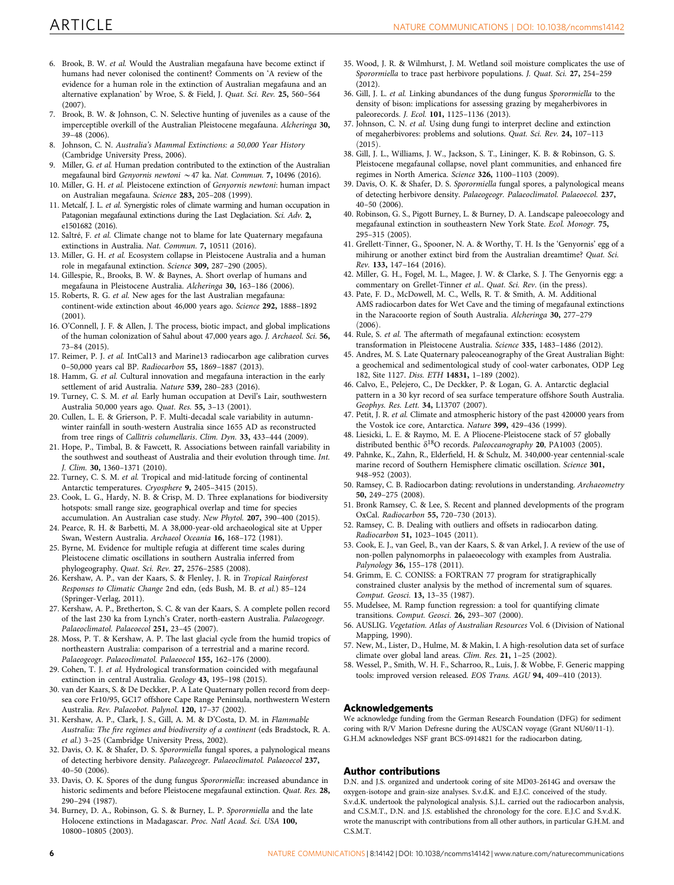- <span id="page-6-0"></span>6. Brook, B. W. et al. Would the Australian megafauna have become extinct if humans had never colonised the continent? Comments on 'A review of the evidence for a human role in the extinction of Australian megafauna and an alternative explanation' by Wroe, S. & Field, J. Quat. Sci. Rev. 25, 560–564 (2007).
- 7. Brook, B. W. & Johnson, C. N. Selective hunting of juveniles as a cause of the imperceptible overkill of the Australian Pleistocene megafauna. Alcheringa 30, 39–48 (2006).
- 8. Johnson, C. N. Australia's Mammal Extinctions: a 50,000 Year History (Cambridge University Press, 2006).
- 9. Miller, G. et al. Human predation contributed to the extinction of the Australian megafaunal bird Genyornis newtoni  $\sim$  47 ka. Nat. Commun. 7, 10496 (2016).
- 10. Miller, G. H. et al. Pleistocene extinction of Genyornis newtoni: human impact on Australian megafauna. Science 283, 205–208 (1999).
- 11. Metcalf, J. L. et al. Synergistic roles of climate warming and human occupation in Patagonian megafaunal extinctions during the Last Deglaciation. Sci. Adv. 2, e1501682 (2016).
- 12. Saltré, F. et al. Climate change not to blame for late Quaternary megafauna extinctions in Australia. Nat. Commun. 7, 10511 (2016).
- 13. Miller, G. H. et al. Ecosystem collapse in Pleistocene Australia and a human role in megafaunal extinction. Science 309, 287–290 (2005).
- 14. Gillespie, R., Brooks, B. W. & Baynes, A. Short overlap of humans and megafauna in Pleistocene Australia. Alcheringa 30, 163–186 (2006).
- 15. Roberts, R. G. et al. New ages for the last Australian megafauna: continent-wide extinction about 46,000 years ago. Science 292, 1888–1892 (2001).
- 16. O'Connell, J. F. & Allen, J. The process, biotic impact, and global implications of the human colonization of Sahul about 47,000 years ago. J. Archaeol. Sci. 56, 73–84 (2015).
- 17. Reimer, P. J. et al. IntCal13 and Marine13 radiocarbon age calibration curves 0–50,000 years cal BP. Radiocarbon 55, 1869–1887 (2013).
- 18. Hamm, G. et al. Cultural innovation and megafauna interaction in the early settlement of arid Australia. Nature 539, 280–283 (2016).
- 19. Turney, C. S. M. et al. Early human occupation at Devil's Lair, southwestern Australia 50,000 years ago. Quat. Res. 55, 3–13 (2001).
- 20. Cullen, L. E. & Grierson, P. F. Multi-decadal scale variability in autumnwinter rainfall in south-western Australia since 1655 AD as reconstructed from tree rings of Callitris columellaris. Clim. Dyn. 33, 433–444 (2009).
- 21. Hope, P., Timbal, B. & Fawcett, R. Associations between rainfall variability in the southwest and southeast of Australia and their evolution through time. Int. J. Clim. 30, 1360–1371 (2010).
- 22. Turney, C. S. M. et al. Tropical and mid-latitude forcing of continental Antarctic temperatures. Cryosphere 9, 2405–3415 (2015).
- 23. Cook, L. G., Hardy, N. B. & Crisp, M. D. Three explanations for biodiversity hotspots: small range size, geographical overlap and time for species accumulation. An Australian case study. New Phytol. 207, 390–400 (2015).
- 24. Pearce, R. H. & Barbetti, M. A 38,000-year-old archaeological site at Upper Swan, Western Australia. Archaeol Oceania 16, 168–172 (1981).
- 25. Byrne, M. Evidence for multiple refugia at different time scales during Pleistocene climatic oscillations in southern Australia inferred from phylogeography. Quat. Sci. Rev. 27, 2576–2585 (2008).
- 26. Kershaw, A. P., van der Kaars, S. & Flenley, J. R. in Tropical Rainforest Responses to Climatic Change 2nd edn, (eds Bush, M. B. et al.) 85–124 (Springer-Verlag, 2011).
- 27. Kershaw, A. P., Bretherton, S. C. & van der Kaars, S. A complete pollen record of the last 230 ka from Lynch's Crater, north-eastern Australia. Palaeogeogr. Palaeoclimatol. Palaeoecol 251, 23–45 (2007).
- 28. Moss, P. T. & Kershaw, A. P. The last glacial cycle from the humid tropics of northeastern Australia: comparison of a terrestrial and a marine record. Palaeogeogr. Palaeoclimatol. Palaeoecol 155, 162–176 (2000).
- 29. Cohen, T. J. et al. Hydrological transformation coincided with megafaunal extinction in central Australia. Geology 43, 195–198 (2015).
- 30. van der Kaars, S. & De Deckker, P. A Late Quaternary pollen record from deepsea core Fr10/95, GC17 offshore Cape Range Peninsula, northwestern Western Australia. Rev. Palaeobot. Palynol. 120, 17–37 (2002).
- 31. Kershaw, A. P., Clark, J. S., Gill, A. M. & D'Costa, D. M. in Flammable Australia: The fire regimes and biodiversity of a continent (eds Bradstock, R. A. et al.) 3–25 (Cambridge University Press, 2002).
- 32. Davis, O. K. & Shafer, D. S. Sporormiella fungal spores, a palynological means of detecting herbivore density. Palaeogeogr. Palaeoclimatol. Palaeoecol 237, 40–50 (2006).
- 33. Davis, O. K. Spores of the dung fungus Sporormiella: increased abundance in historic sediments and before Pleistocene megafaunal extinction. Quat. Res. 28, 290–294 (1987).
- 34. Burney, D. A., Robinson, G. S. & Burney, L. P. Sporormiella and the late Holocene extinctions in Madagascar. Proc. Natl Acad. Sci. USA 100, 10800–10805 (2003).
- 35. Wood, J. R. & Wilmhurst, J. M. Wetland soil moisture complicates the use of Sporormiella to trace past herbivore populations. J. Quat. Sci. 27, 254–259  $(2012)$
- 36. Gill, J. L. et al. Linking abundances of the dung fungus Sporormiella to the density of bison: implications for assessing grazing by megaherbivores in paleorecords. J. Ecol. 101, 1125–1136 (2013).
- 37. Johnson, C. N. et al. Using dung fungi to interpret decline and extinction of megaherbivores: problems and solutions. Quat. Sci. Rev. 24, 107–113  $(2015).$
- 38. Gill, J. L., Williams, J. W., Jackson, S. T., Lininger, K. B. & Robinson, G. S. Pleistocene megafaunal collapse, novel plant communities, and enhanced fire regimes in North America. Science 326, 1100–1103 (2009).
- 39. Davis, O. K. & Shafer, D. S. Sporormiella fungal spores, a palynological means of detecting herbivore density. Palaeogeogr. Palaeoclimatol. Palaeoecol. 237, 40–50 (2006).
- 40. Robinson, G. S., Pigott Burney, L. & Burney, D. A. Landscape paleoecology and megafaunal extinction in southeastern New York State. Ecol. Monogr. 75, 295–315 (2005).
- 41. Grellett-Tinner, G., Spooner, N. A. & Worthy, T. H. Is the 'Genyornis' egg of a mihirung or another extinct bird from the Australian dreamtime? Quat. Sci. Rev. 133, 147–164 (2016).
- 42. Miller, G. H., Fogel, M. L., Magee, J. W. & Clarke, S. J. The Genyornis egg: a commentary on Grellet-Tinner et al.. Quat. Sci. Rev. (in the press).
- 43. Pate, F. D., McDowell, M. C., Wells, R. T. & Smith, A. M. Additional AMS radiocarbon dates for Wet Cave and the timing of megafaunal extinctions in the Naracoorte region of South Australia. Alcheringa 30, 277–279  $(2006).$
- 44. Rule, S. et al. The aftermath of megafaunal extinction: ecosystem transformation in Pleistocene Australia. Science 335, 1483–1486 (2012).
- 45. Andres, M. S. Late Quaternary paleoceanography of the Great Australian Bight: a geochemical and sedimentological study of cool-water carbonates, ODP Leg 182, Site 1127. Diss. ETH 14831, 1–189 (2002).
- 46. Calvo, E., Pelejero, C., De Deckker, P. & Logan, G. A. Antarctic deglacial pattern in a 30 kyr record of sea surface temperature offshore South Australia. Geophys. Res. Lett. 34, L13707 (2007).
- 47. Petit, J. R. et al. Climate and atmospheric history of the past 420000 years from the Vostok ice core, Antarctica. Nature 399, 429–436 (1999).
- 48. Liesicki, L. E. & Raymo, M. E. A Pliocene-Pleistocene stack of 57 globally distributed benthic  $\delta^{18}O$  records. Paleoceanography 20, PA1003 (2005).
- 49. Pahnke, K., Zahn, R., Elderfield, H. & Schulz, M. 340,000-year centennial-scale marine record of Southern Hemisphere climatic oscillation. Science 301, 948–952 (2003).
- 50. Ramsey, C. B. Radiocarbon dating: revolutions in understanding. Archaeometry 50, 249–275 (2008).
- 51. Bronk Ramsey, C. & Lee, S. Recent and planned developments of the program OxCal. Radiocarbon 55, 720–730 (2013).
- 52. Ramsey, C. B. Dealing with outliers and offsets in radiocarbon dating. Radiocarbon 51, 1023–1045 (2011).
- 53. Cook, E. J., van Geel, B., van der Kaars, S. & van Arkel, J. A review of the use of non-pollen palynomorphs in palaeoecology with examples from Australia. Palynology 36, 155–178 (2011).
- 54. Grimm, E. C. CONISS: a FORTRAN 77 program for stratigraphically constrained cluster analysis by the method of incremental sum of squares. Comput. Geosci. 13, 13–35 (1987).
- 55. Mudelsee, M. Ramp function regression: a tool for quantifying climate transitions. Comput. Geosci. 26, 293–307 (2000).
- 56. AUSLIG. Vegetation. Atlas of Australian Resources Vol. 6 (Division of National Mapping, 1990).
- 57. New, M., Lister, D., Hulme, M. & Makin, I. A high-resolution data set of surface climate over global land areas. Clim. Res. 21, 1–25 (2002).
- 58. Wessel, P., Smith, W. H. F., Scharroo, R., Luis, J. & Wobbe, F. Generic mapping tools: improved version released. EOS Trans. AGU 94, 409–410 (2013).

#### Acknowledgements

We acknowledge funding from the German Research Foundation (DFG) for sediment coring with R/V Marion Defresne during the AUSCAN voyage (Grant NU60/11-1). G.H.M acknowledges NSF grant BCS-0914821 for the radiocarbon dating,

#### Author contributions

D.N. and J.S. organized and undertook coring of site MD03-2614G and oversaw the oxygen-isotope and grain-size analyses. S.v.d.K. and E.J.C. conceived of the study. S.v.d.K. undertook the palynological analysis. S.J.L. carried out the radiocarbon analysis, and C.S.M.T., D.N. and J.S. established the chronology for the core. E.J.C and S.v.d.K. wrote the manuscript with contributions from all other authors, in particular G.H.M. and C.S.M.T.